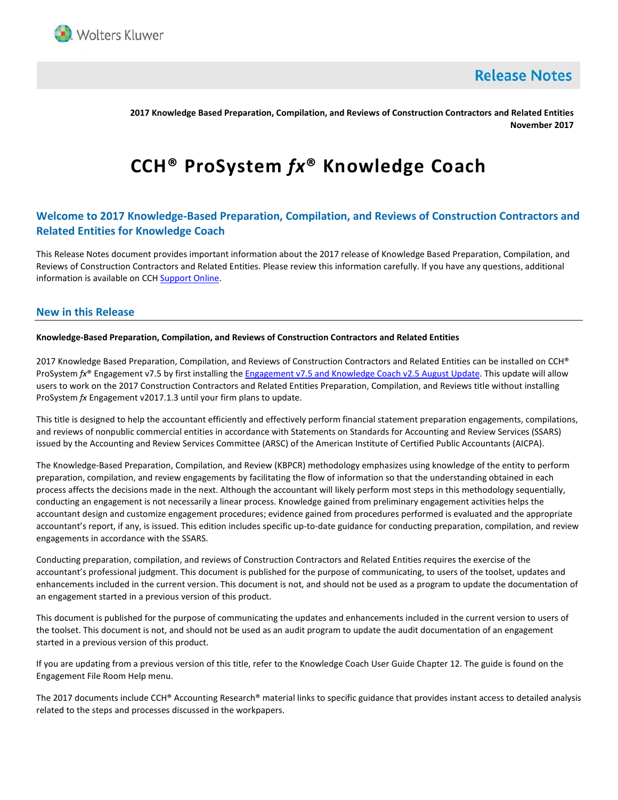

**Release Notes** 

**2017 Knowledge Based Preparation, Compilation, and Reviews of Construction Contractors and Related Entities November 2017**

# **CCH® ProSystem** *fx***® Knowledge Coach**

# **Welcome to 2017 Knowledge-Based Preparation, Compilation, and Reviews of Construction Contractors and Related Entities for Knowledge Coach**

This Release Notes document provides important information about the 2017 release of Knowledge Based Preparation, Compilation, and Reviews of Construction Contractors and Related Entities. Please review this information carefully. If you have any questions, additional information is available on CCH **Support Online**.

#### **New in this Release**

#### **Knowledge-Based Preparation, Compilation, and Reviews of Construction Contractors and Related Entities**

2017 Knowledge Based Preparation, Compilation, and Reviews of Construction Contractors and Related Entities can be installed on CCH® ProSystem *fx®* Engagement v7.5 by first installing the [Engagement v7.5 and Knowledge Coach v2.5 August](https://support.cch.com/updates/Engagement/patch75/patch75.aspx) Update. This update will allow users to work on the 2017 Construction Contractors and Related Entities Preparation, Compilation, and Reviews title without installing ProSystem *fx* Engagement v2017.1.3 until your firm plans to update.

This title is designed to help the accountant efficiently and effectively perform financial statement preparation engagements, compilations, and reviews of nonpublic commercial entities in accordance with Statements on Standards for Accounting and Review Services (SSARS) issued by the Accounting and Review Services Committee (ARSC) of the American Institute of Certified Public Accountants (AICPA).

The Knowledge-Based Preparation, Compilation, and Review (KBPCR) methodology emphasizes using knowledge of the entity to perform preparation, compilation, and review engagements by facilitating the flow of information so that the understanding obtained in each process affects the decisions made in the next. Although the accountant will likely perform most steps in this methodology sequentially, conducting an engagement is not necessarily a linear process. Knowledge gained from preliminary engagement activities helps the accountant design and customize engagement procedures; evidence gained from procedures performed is evaluated and the appropriate accountant's report, if any, is issued. This edition includes specific up-to-date guidance for conducting preparation, compilation, and review engagements in accordance with the SSARS.

Conducting preparation, compilation, and reviews of Construction Contractors and Related Entities requires the exercise of the accountant's professional judgment. This document is published for the purpose of communicating, to users of the toolset, updates and enhancements included in the current version. This document is not, and should not be used as a program to update the documentation of an engagement started in a previous version of this product.

This document is published for the purpose of communicating the updates and enhancements included in the current version to users of the toolset. This document is not, and should not be used as an audit program to update the audit documentation of an engagement started in a previous version of this product.

If you are updating from a previous version of this title, refer to the Knowledge Coach User Guide Chapter 12. The guide is found on the Engagement File Room Help menu.

The 2017 documents include CCH® Accounting Research® material links to specific guidance that provides instant access to detailed analysis related to the steps and processes discussed in the workpapers.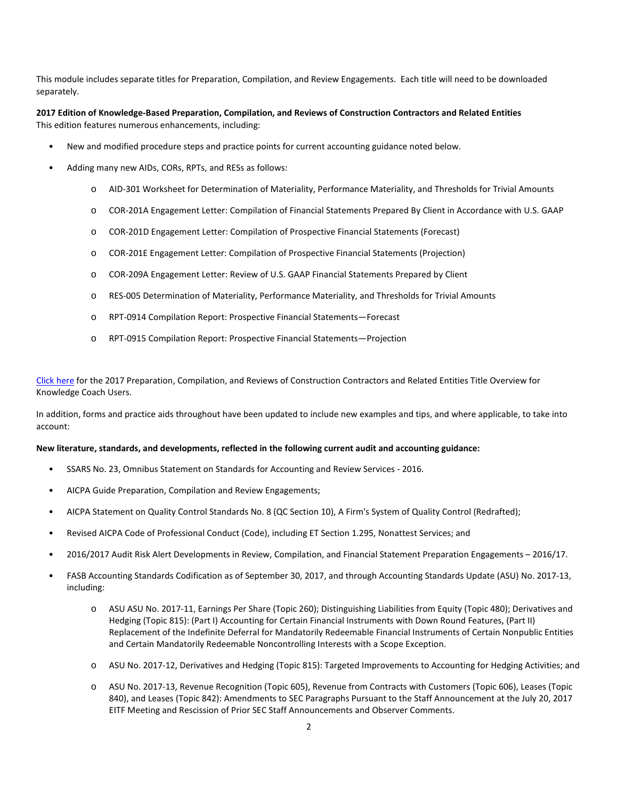This module includes separate titles for Preparation, Compilation, and Review Engagements. Each title will need to be downloaded separately.

#### **2017 Edition of Knowledge-Based Preparation, Compilation, and Reviews of Construction Contractors and Related Entities** This edition features numerous enhancements, including:

- New and modified procedure steps and practice points for current accounting guidance noted below.
- Adding many new AIDs, CORs, RPTs, and RESs as follows:
	- o AID-301 Worksheet for Determination of Materiality, Performance Materiality, and Thresholds for Trivial Amounts
	- o COR-201A Engagement Letter: Compilation of Financial Statements Prepared By Client in Accordance with U.S. GAAP
	- o COR-201D Engagement Letter: Compilation of Prospective Financial Statements (Forecast)
	- o COR-201E Engagement Letter: Compilation of Prospective Financial Statements (Projection)
	- o COR-209A Engagement Letter: Review of U.S. GAAP Financial Statements Prepared by Client
	- o RES-005 Determination of Materiality, Performance Materiality, and Thresholds for Trivial Amounts
	- o RPT-0914 Compilation Report: Prospective Financial Statements—Forecast
	- o RPT-0915 Compilation Report: Prospective Financial Statements—Projection

[Click here](http://support.cch.com/updates/KnowledgeCoach/pdf/guides_tab/2017%20CON%20PCR%20Title%20Overview%20for%20Knowledge%20Coach%20Users.pdf) for the 2017 Preparation, Compilation, and Reviews of Construction Contractors and Related Entities Title Overview for Knowledge Coach Users.

In addition, forms and practice aids throughout have been updated to include new examples and tips, and where applicable, to take into account:

#### **New literature, standards, and developments, reflected in the following current audit and accounting guidance:**

- SSARS No. 23, Omnibus Statement on Standards for Accounting and Review Services 2016.
- AICPA Guide Preparation, Compilation and Review Engagements;
- AICPA Statement on Quality Control Standards No. 8 (QC Section 10), A Firm's System of Quality Control (Redrafted);
- Revised AICPA Code of Professional Conduct (Code), including ET Section 1.295, Nonattest Services; and
- 2016/2017 Audit Risk Alert Developments in Review, Compilation, and Financial Statement Preparation Engagements 2016/17.
- FASB Accounting Standards Codification as of September 30, 2017, and through Accounting Standards Update (ASU) No. 2017-13, including:
	- o ASU ASU No. 2017-11, Earnings Per Share (Topic 260); Distinguishing Liabilities from Equity (Topic 480); Derivatives and Hedging (Topic 815): (Part I) Accounting for Certain Financial Instruments with Down Round Features, (Part II) Replacement of the Indefinite Deferral for Mandatorily Redeemable Financial Instruments of Certain Nonpublic Entities and Certain Mandatorily Redeemable Noncontrolling Interests with a Scope Exception.
	- o ASU No. 2017-12, Derivatives and Hedging (Topic 815): Targeted Improvements to Accounting for Hedging Activities; and
	- o ASU No. 2017-13, Revenue Recognition (Topic 605), Revenue from Contracts with Customers (Topic 606), Leases (Topic 840), and Leases (Topic 842): Amendments to SEC Paragraphs Pursuant to the Staff Announcement at the July 20, 2017 EITF Meeting and Rescission of Prior SEC Staff Announcements and Observer Comments.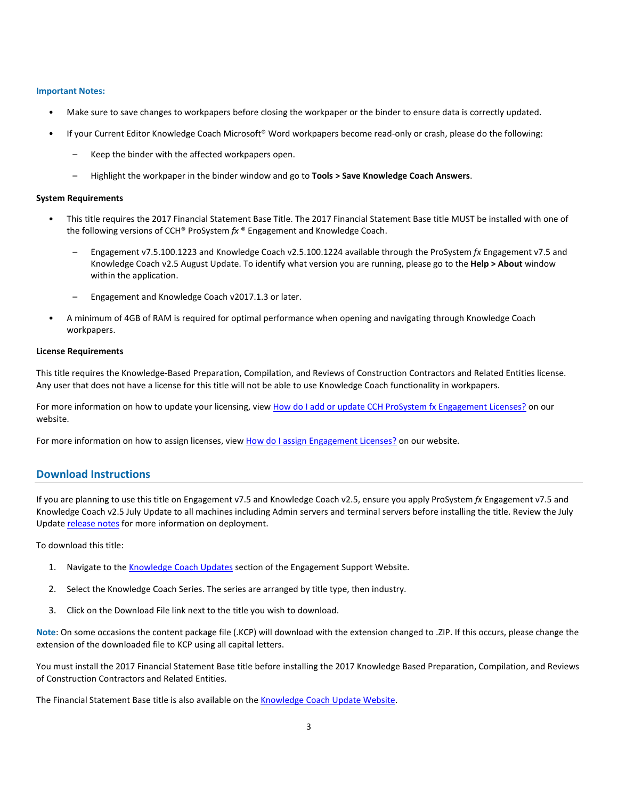#### **Important Notes:**

- Make sure to save changes to workpapers before closing the workpaper or the binder to ensure data is correctly updated.
- If your Current Editor Knowledge Coach Microsoft® Word workpapers become read-only or crash, please do the following:
	- Keep the binder with the affected workpapers open.
	- Highlight the workpaper in the binder window and go to **Tools > Save Knowledge Coach Answers**.

#### **System Requirements**

- This title requires the 2017 Financial Statement Base Title. The 2017 Financial Statement Base title MUST be installed with one of the following versions of CCH® ProSystem *fx* ® Engagement and Knowledge Coach.
	- Engagement v7.5.100.1223 and Knowledge Coach v2.5.100.1224 available through the ProSystem *fx* Engagement v7.5 and Knowledge Coach v2.5 August Update. To identify what version you are running, please go to the **Help > About** window within the application.
	- Engagement and Knowledge Coach v2017.1.3 or later.
- A minimum of 4GB of RAM is required for optimal performance when opening and navigating through Knowledge Coach workpapers.

#### **License Requirements**

This title requires the Knowledge-Based Preparation, Compilation, and Reviews of Construction Contractors and Related Entities license. Any user that does not have a license for this title will not be able to use Knowledge Coach functionality in workpapers.

For more information on how to update your licensing, vie[w How do I add or update CCH ProSystem fx Engagement Licenses?](https://support.cch.com/kb/solution.aspx/sw3937) on our website.

For more information on how to assign licenses, view [How do I assign Engagement Licenses?](https://support.cch.com/kb/solution.aspx/sw3943) on our website.

# **Download Instructions**

If you are planning to use this title on Engagement v7.5 and Knowledge Coach v2.5, ensure you apply ProSystem *fx* Engagement v7.5 and Knowledge Coach v2.5 July Update to all machines including Admin servers and terminal servers before installing the title. Review the July Update [release notes](https://support.cch.com/updates/Engagement/patch75/Engagement%20and%20KC%20July%202017%20Update%20Release%20Notes.pdf) for more information on deployment.

To download this title:

- 1. Navigate to the [Knowledge Coach Updates](http://support.cch.com/updates/KnowledgeCoach) section of the Engagement Support Website.
- 2. Select the Knowledge Coach Series. The series are arranged by title type, then industry.
- 3. Click on the Download File link next to the title you wish to download.

**Note**: On some occasions the content package file (.KCP) will download with the extension changed to .ZIP. If this occurs, please change the extension of the downloaded file to KCP using all capital letters.

You must install the 2017 Financial Statement Base title before installing the 2017 Knowledge Based Preparation, Compilation, and Reviews of Construction Contractors and Related Entities.

The Financial Statement Base title is also available on th[e Knowledge Coach Update Website.](http://support.cch.com/updates/KnowledgeCoach)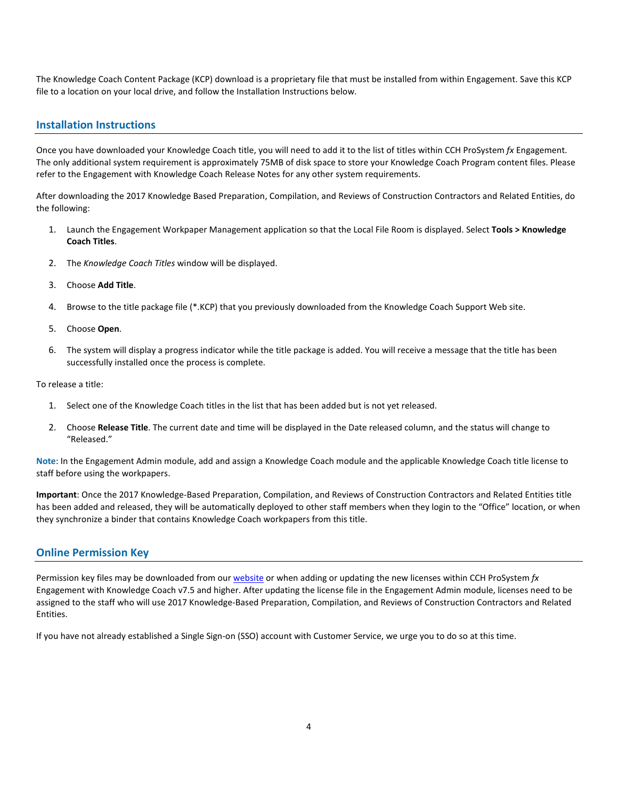The Knowledge Coach Content Package (KCP) download is a proprietary file that must be installed from within Engagement. Save this KCP file to a location on your local drive, and follow the Installation Instructions below.

## **Installation Instructions**

Once you have downloaded your Knowledge Coach title, you will need to add it to the list of titles within CCH ProSystem *fx* Engagement. The only additional system requirement is approximately 75MB of disk space to store your Knowledge Coach Program content files. Please refer to the Engagement with Knowledge Coach Release Notes for any other system requirements.

After downloading the 2017 Knowledge Based Preparation, Compilation, and Reviews of Construction Contractors and Related Entities, do the following:

- 1. Launch the Engagement Workpaper Management application so that the Local File Room is displayed. Select **Tools > Knowledge Coach Titles**.
- 2. The *Knowledge Coach Titles* window will be displayed.
- 3. Choose **Add Title**.
- 4. Browse to the title package file (\*.KCP) that you previously downloaded from the Knowledge Coach Support Web site.
- 5. Choose **Open**.
- 6. The system will display a progress indicator while the title package is added. You will receive a message that the title has been successfully installed once the process is complete.

To release a title:

- 1. Select one of the Knowledge Coach titles in the list that has been added but is not yet released.
- 2. Choose **Release Title**. The current date and time will be displayed in the Date released column, and the status will change to "Released."

**Note**: In the Engagement Admin module, add and assign a Knowledge Coach module and the applicable Knowledge Coach title license to staff before using the workpapers.

**Important**: Once the 2017 Knowledge-Based Preparation, Compilation, and Reviews of Construction Contractors and Related Entities title has been added and released, they will be automatically deployed to other staff members when they login to the "Office" location, or when they synchronize a binder that contains Knowledge Coach workpapers from this title.

## **Online Permission Key**

Permission key files may be downloaded from ou[r website](https://prosystemfxsupport.tax.cchgroup.com/permkey/download.aspx) or when adding or updating the new licenses within CCH ProSystem *fx* Engagement with Knowledge Coach v7.5 and higher. After updating the license file in the Engagement Admin module, licenses need to be assigned to the staff who will use 2017 Knowledge-Based Preparation, Compilation, and Reviews of Construction Contractors and Related Entities.

If you have not already established a Single Sign-on (SSO) account with Customer Service, we urge you to do so at this time.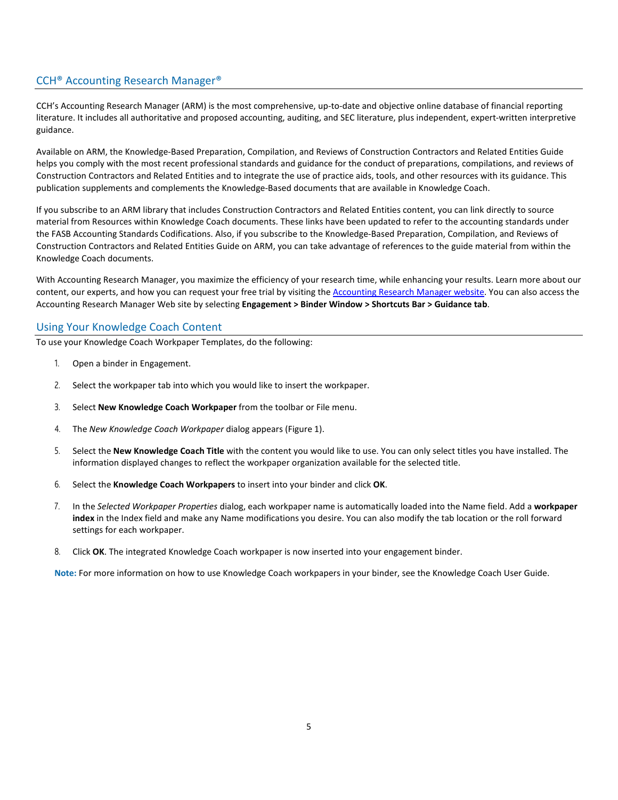# CCH® Accounting Research Manager®

CCH's Accounting Research Manager (ARM) is the most comprehensive, up-to-date and objective online database of financial reporting literature. It includes all authoritative and proposed accounting, auditing, and SEC literature, plus independent, expert-written interpretive guidance.

Available on ARM, the Knowledge-Based Preparation, Compilation, and Reviews of Construction Contractors and Related Entities Guide helps you comply with the most recent professional standards and guidance for the conduct of preparations, compilations, and reviews of Construction Contractors and Related Entities and to integrate the use of practice aids, tools, and other resources with its guidance. This publication supplements and complements the Knowledge-Based documents that are available in Knowledge Coach.

If you subscribe to an ARM library that includes Construction Contractors and Related Entities content, you can link directly to source material from Resources within Knowledge Coach documents. These links have been updated to refer to the accounting standards under the FASB Accounting Standards Codifications. Also, if you subscribe to the Knowledge-Based Preparation, Compilation, and Reviews of Construction Contractors and Related Entities Guide on ARM, you can take advantage of references to the guide material from within the Knowledge Coach documents.

With Accounting Research Manager, you maximize the efficiency of your research time, while enhancing your results. Learn more about our content, our experts, and how you can request your free trial by visiting the [Accounting Research Manager website.](http://www.accountingresearchmanager.com/) You can also access the Accounting Research Manager Web site by selecting **Engagement > Binder Window > Shortcuts Bar > Guidance tab**.

# Using Your Knowledge Coach Content

To use your Knowledge Coach Workpaper Templates, do the following:

- 1. Open a binder in Engagement.
- 2. Select the workpaper tab into which you would like to insert the workpaper.
- 3. Select **New Knowledge Coach Workpaper** from the toolbar or File menu.
- 4. The *New Knowledge Coach Workpaper* dialog appears (Figure 1).
- 5. Select the **New Knowledge Coach Title** with the content you would like to use. You can only select titles you have installed. The information displayed changes to reflect the workpaper organization available for the selected title.
- 6. Select the **Knowledge Coach Workpapers** to insert into your binder and click **OK**.
- 7. In the *Selected Workpaper Properties* dialog, each workpaper name is automatically loaded into the Name field. Add a **workpaper index** in the Index field and make any Name modifications you desire. You can also modify the tab location or the roll forward settings for each workpaper.
- 8. Click **OK**. The integrated Knowledge Coach workpaper is now inserted into your engagement binder.

**Note:** For more information on how to use Knowledge Coach workpapers in your binder, see the Knowledge Coach User Guide.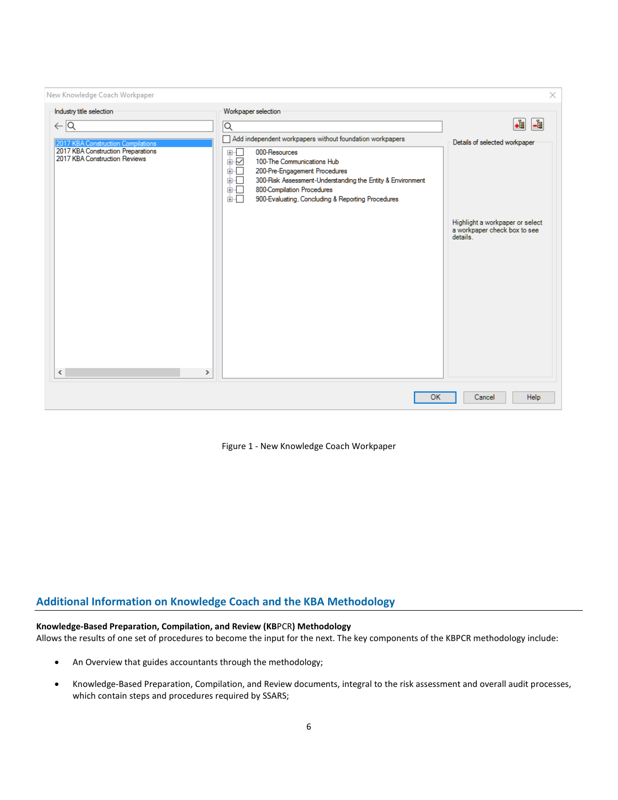| New Knowledge Coach Workpaper                                                                                                                                            |                                                                                                                                                                                                                                                                                                                                                                                  | ×                                                                                       |
|--------------------------------------------------------------------------------------------------------------------------------------------------------------------------|----------------------------------------------------------------------------------------------------------------------------------------------------------------------------------------------------------------------------------------------------------------------------------------------------------------------------------------------------------------------------------|-----------------------------------------------------------------------------------------|
| Industry title selection<br>$\leftarrow \boxed{\mathsf{Q}}$<br>2017 KBA Construction Compilations<br>2017 KBA Construction Preparations<br>2017 KBA Construction Reviews | Workpaper selection<br>$\overline{\mathsf{Q}}$<br>Add independent workpapers without foundation workpapers<br>⊞…⊡<br>000-Resources<br>Ė⊻<br>100-The Communications Hub<br>面石<br>200-Pre-Engagement Procedures<br>面石<br>300-Risk Assessment-Understanding the Entity & Environment<br>面石<br>800-Compilation Procedures<br>面石<br>900-Evaluating, Concluding & Reporting Procedures | .i<br>$\frac{1}{\log n}$<br>Details of selected workpaper                               |
|                                                                                                                                                                          |                                                                                                                                                                                                                                                                                                                                                                                  | Highlight a workpaper or select<br>a workpaper check box to see<br>details <sup>1</sup> |
| ∢<br>$\,$                                                                                                                                                                |                                                                                                                                                                                                                                                                                                                                                                                  |                                                                                         |
|                                                                                                                                                                          | <b>OK</b>                                                                                                                                                                                                                                                                                                                                                                        | <b>Help</b><br>Cancel                                                                   |

Figure 1 - New Knowledge Coach Workpaper

# **Additional Information on Knowledge Coach and the KBA Methodology**

# **Knowledge-Based Preparation, Compilation, and Review (KB**PCR**) Methodology**

Allows the results of one set of procedures to become the input for the next. The key components of the KBPCR methodology include:

- An Overview that guides accountants through the methodology;
- Knowledge-Based Preparation, Compilation, and Review documents, integral to the risk assessment and overall audit processes, which contain steps and procedures required by SSARS;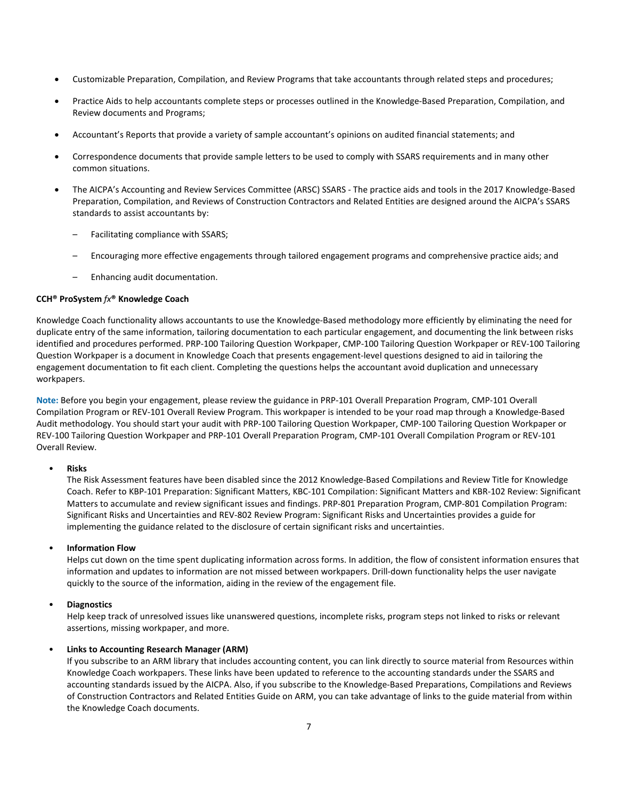- Customizable Preparation, Compilation, and Review Programs that take accountants through related steps and procedures;
- Practice Aids to help accountants complete steps or processes outlined in the Knowledge-Based Preparation, Compilation, and Review documents and Programs;
- Accountant's Reports that provide a variety of sample accountant's opinions on audited financial statements; and
- Correspondence documents that provide sample letters to be used to comply with SSARS requirements and in many other common situations.
- The AICPA's Accounting and Review Services Committee (ARSC) SSARS The practice aids and tools in the 2017 Knowledge-Based Preparation, Compilation, and Reviews of Construction Contractors and Related Entities are designed around the AICPA's SSARS standards to assist accountants by:
	- Facilitating compliance with SSARS;
	- Encouraging more effective engagements through tailored engagement programs and comprehensive practice aids; and
	- Enhancing audit documentation.

#### **CCH® ProSystem** *fx***® Knowledge Coach**

Knowledge Coach functionality allows accountants to use the Knowledge-Based methodology more efficiently by eliminating the need for duplicate entry of the same information, tailoring documentation to each particular engagement, and documenting the link between risks identified and procedures performed. PRP-100 Tailoring Question Workpaper, CMP-100 Tailoring Question Workpaper or REV-100 Tailoring Question Workpaper is a document in Knowledge Coach that presents engagement-level questions designed to aid in tailoring the engagement documentation to fit each client. Completing the questions helps the accountant avoid duplication and unnecessary workpapers.

**Note:** Before you begin your engagement, please review the guidance in PRP-101 Overall Preparation Program, CMP-101 Overall Compilation Program or REV-101 Overall Review Program. This workpaper is intended to be your road map through a Knowledge-Based Audit methodology. You should start your audit with PRP-100 Tailoring Question Workpaper, CMP-100 Tailoring Question Workpaper or REV-100 Tailoring Question Workpaper and PRP-101 Overall Preparation Program, CMP-101 Overall Compilation Program or REV-101 Overall Review.

#### • **Risks**

The Risk Assessment features have been disabled since the 2012 Knowledge-Based Compilations and Review Title for Knowledge Coach. Refer to KBP-101 Preparation: Significant Matters, KBC-101 Compilation: Significant Matters and KBR-102 Review: Significant Matters to accumulate and review significant issues and findings. PRP-801 Preparation Program, CMP-801 Compilation Program: Significant Risks and Uncertainties and REV-802 Review Program: Significant Risks and Uncertainties provides a guide for implementing the guidance related to the disclosure of certain significant risks and uncertainties.

#### • **Information Flow**

Helps cut down on the time spent duplicating information across forms. In addition, the flow of consistent information ensures that information and updates to information are not missed between workpapers. Drill-down functionality helps the user navigate quickly to the source of the information, aiding in the review of the engagement file.

## • **Diagnostics**

Help keep track of unresolved issues like unanswered questions, incomplete risks, program steps not linked to risks or relevant assertions, missing workpaper, and more.

## • **Links to Accounting Research Manager (ARM)**

If you subscribe to an ARM library that includes accounting content, you can link directly to source material from Resources within Knowledge Coach workpapers. These links have been updated to reference to the accounting standards under the SSARS and accounting standards issued by the AICPA. Also, if you subscribe to the Knowledge-Based Preparations, Compilations and Reviews of Construction Contractors and Related Entities Guide on ARM, you can take advantage of links to the guide material from within the Knowledge Coach documents.